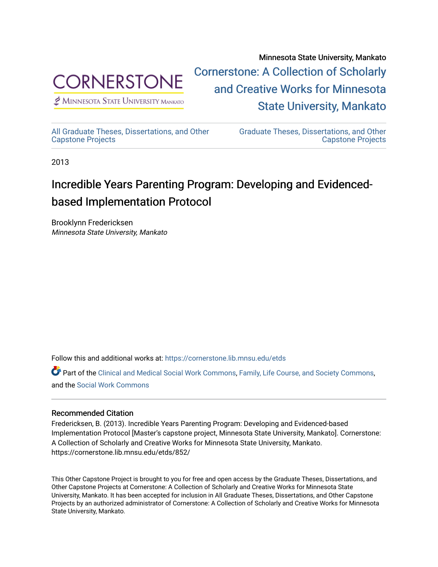

 $<sup>2</sup>$  Minnesota State University Mankato</sup>

Minnesota State University, Mankato [Cornerstone: A Collection of Scholarly](https://cornerstone.lib.mnsu.edu/)  [and Creative Works for Minnesota](https://cornerstone.lib.mnsu.edu/)  [State University, Mankato](https://cornerstone.lib.mnsu.edu/) 

[All Graduate Theses, Dissertations, and Other](https://cornerstone.lib.mnsu.edu/etds) 

[Graduate Theses, Dissertations, and Other](https://cornerstone.lib.mnsu.edu/theses_dissertations-capstone)  [Capstone Projects](https://cornerstone.lib.mnsu.edu/theses_dissertations-capstone) 

2013

[Capstone Projects](https://cornerstone.lib.mnsu.edu/etds) 

#### Incredible Years Parenting Program: Developing and Evidencedbased Implementation Protocol

Brooklynn Fredericksen Minnesota State University, Mankato

Follow this and additional works at: [https://cornerstone.lib.mnsu.edu/etds](https://cornerstone.lib.mnsu.edu/etds?utm_source=cornerstone.lib.mnsu.edu%2Fetds%2F852&utm_medium=PDF&utm_campaign=PDFCoverPages) 

Part of the [Clinical and Medical Social Work Commons,](http://network.bepress.com/hgg/discipline/712?utm_source=cornerstone.lib.mnsu.edu%2Fetds%2F852&utm_medium=PDF&utm_campaign=PDFCoverPages) [Family, Life Course, and Society Commons,](http://network.bepress.com/hgg/discipline/419?utm_source=cornerstone.lib.mnsu.edu%2Fetds%2F852&utm_medium=PDF&utm_campaign=PDFCoverPages) and the [Social Work Commons](http://network.bepress.com/hgg/discipline/713?utm_source=cornerstone.lib.mnsu.edu%2Fetds%2F852&utm_medium=PDF&utm_campaign=PDFCoverPages) 

#### Recommended Citation

Fredericksen, B. (2013). Incredible Years Parenting Program: Developing and Evidenced-based Implementation Protocol [Master's capstone project, Minnesota State University, Mankato]. Cornerstone: A Collection of Scholarly and Creative Works for Minnesota State University, Mankato. https://cornerstone.lib.mnsu.edu/etds/852/

This Other Capstone Project is brought to you for free and open access by the Graduate Theses, Dissertations, and Other Capstone Projects at Cornerstone: A Collection of Scholarly and Creative Works for Minnesota State University, Mankato. It has been accepted for inclusion in All Graduate Theses, Dissertations, and Other Capstone Projects by an authorized administrator of Cornerstone: A Collection of Scholarly and Creative Works for Minnesota State University, Mankato.